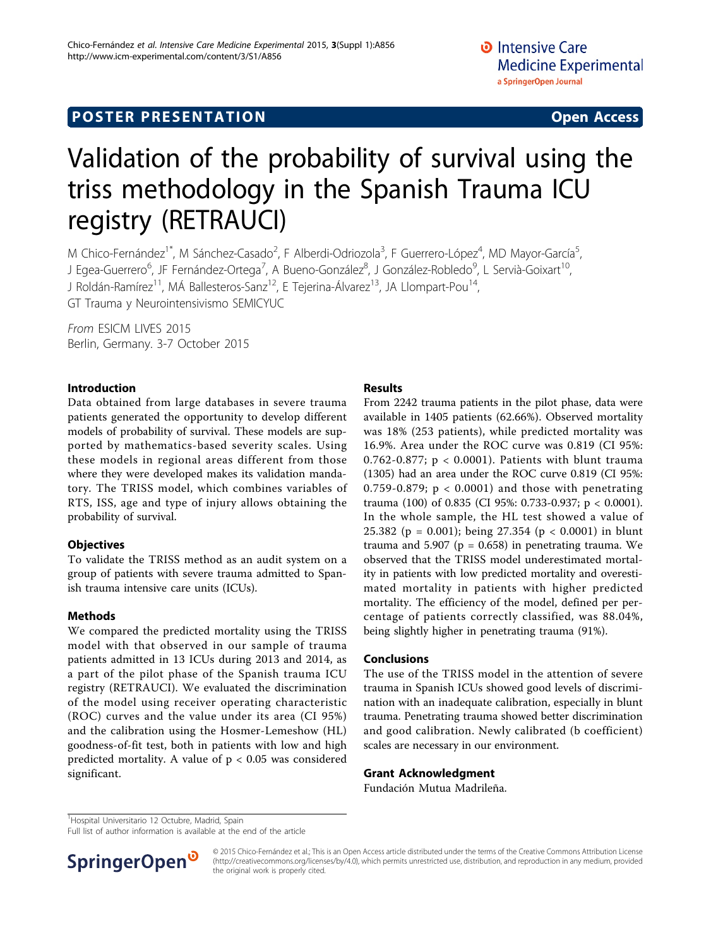# **POSTER PRESENTATION CONSUMING ACCESS**

# Validation of the probability of survival using the triss methodology in the Spanish Trauma ICU registry (RETRAUCI)

M Chico-Fernández<sup>1\*</sup>, M Sánchez-Casado<sup>2</sup>, F Alberdi-Odriozola<sup>3</sup>, F Guerrero-López<sup>4</sup>, MD Mayor-García<sup>5</sup> , J Egea-Guerrero<sup>6</sup>, JF Fernández-Ortega<sup>7</sup>, A Bueno-González<sup>8</sup>, J González-Robledo<sup>9</sup>, L Servià-Goixart<sup>10</sup>, J Roldán-Ramírez<sup>11</sup>, MÁ Ballesteros-Sanz<sup>12</sup>, E Tejerina-Álvarez<sup>13</sup>, JA Llompart-Pou<sup>14</sup>, GT Trauma y Neurointensivismo SEMICYUC

From ESICM LIVES 2015 Berlin, Germany. 3-7 October 2015

### Introduction

Data obtained from large databases in severe trauma patients generated the opportunity to develop different models of probability of survival. These models are supported by mathematics-based severity scales. Using these models in regional areas different from those where they were developed makes its validation mandatory. The TRISS model, which combines variables of RTS, ISS, age and type of injury allows obtaining the probability of survival.

# **Objectives**

To validate the TRISS method as an audit system on a group of patients with severe trauma admitted to Spanish trauma intensive care units (ICUs).

# Methods

We compared the predicted mortality using the TRISS model with that observed in our sample of trauma patients admitted in 13 ICUs during 2013 and 2014, as a part of the pilot phase of the Spanish trauma ICU registry (RETRAUCI). We evaluated the discrimination of the model using receiver operating characteristic (ROC) curves and the value under its area (CI 95%) and the calibration using the Hosmer-Lemeshow (HL) goodness-of-fit test, both in patients with low and high predicted mortality. A value of  $p < 0.05$  was considered significant.

# Results

From 2242 trauma patients in the pilot phase, data were available in 1405 patients (62.66%). Observed mortality was 18% (253 patients), while predicted mortality was 16.9%. Area under the ROC curve was 0.819 (CI 95%: 0.762-0.877; p < 0.0001). Patients with blunt trauma (1305) had an area under the ROC curve 0.819 (CI 95%: 0.759-0.879;  $p < 0.0001$  and those with penetrating trauma (100) of 0.835 (CI 95%: 0.733-0.937; p < 0.0001). In the whole sample, the HL test showed a value of 25.382 (p = 0.001); being 27.354 (p < 0.0001) in blunt trauma and 5.907 ( $p = 0.658$ ) in penetrating trauma. We observed that the TRISS model underestimated mortality in patients with low predicted mortality and overestimated mortality in patients with higher predicted mortality. The efficiency of the model, defined per percentage of patients correctly classified, was 88.04%, being slightly higher in penetrating trauma (91%).

#### Conclusions

The use of the TRISS model in the attention of severe trauma in Spanish ICUs showed good levels of discrimination with an inadequate calibration, especially in blunt trauma. Penetrating trauma showed better discrimination and good calibration. Newly calibrated (b coefficient) scales are necessary in our environment.

#### Grant Acknowledgment

Fundación Mutua Madrileña.

<sup>1</sup>Hospital Universitario 12 Octubre, Madrid, Spain

Full list of author information is available at the end of the article



© 2015 Chico-Fernández et al.; This is an Open Access article distributed under the terms of the Creative Commons Attribution License [\(http://creativecommons.org/licenses/by/4.0](http://creativecommons.org/licenses/by/4.0)), which permits unrestricted use, distribution, and reproduction in any medium, provided the original work is properly cited.